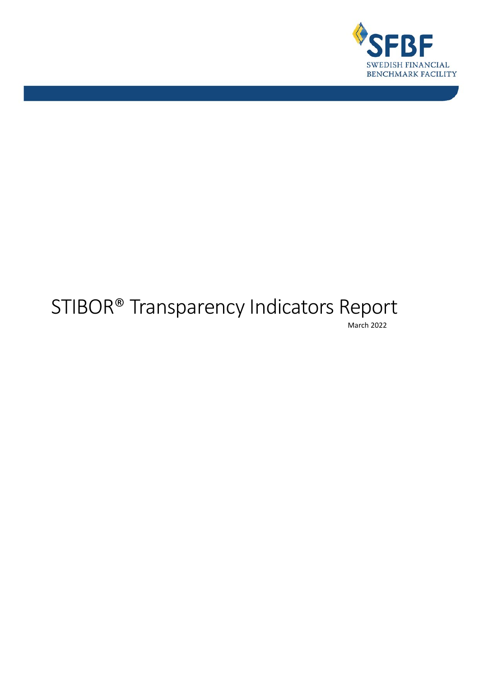

# STIBOR® Transparency Indicators Report March 2022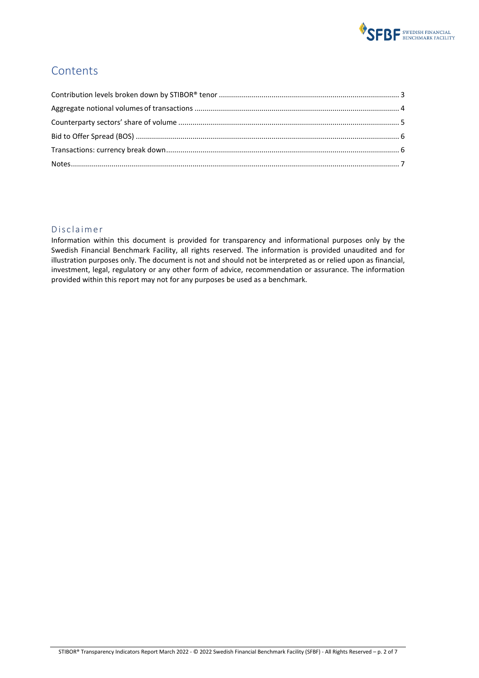

#### **Contents**

#### Disclaimer

Information within this document is provided for transparency and informational purposes only by the Swedish Financial Benchmark Facility, all rights reserved. The information is provided unaudited and for illustration purposes only. The document is not and should not be interpreted as or relied upon as financial, investment, legal, regulatory or any other form of advice, recommendation or assurance. The information provided within this report may not for any purposes be used as a benchmark.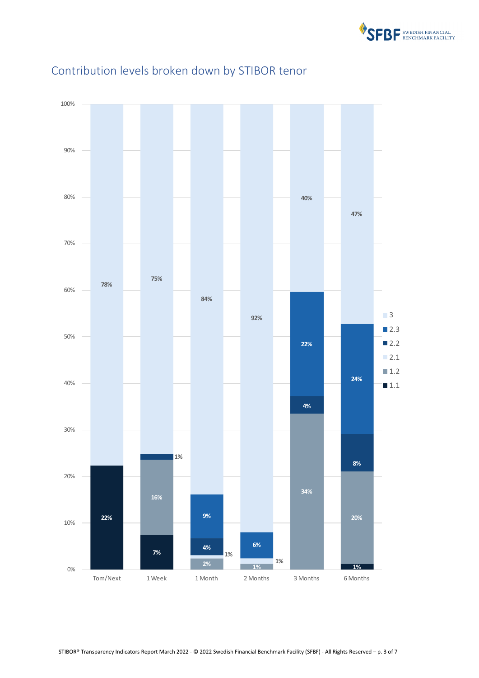

<span id="page-2-1"></span>

# <span id="page-2-0"></span>Contribution levels broken down by STIBOR tenor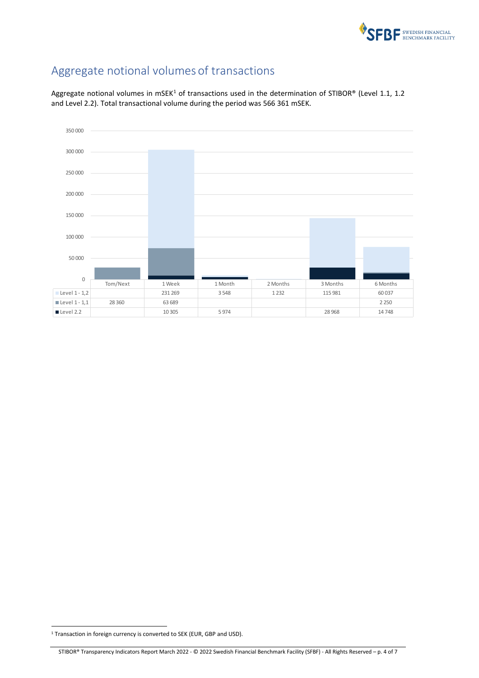

## Aggregate notional volumes of transactions

Aggregate notional volumes in mSEK<sup>[1](#page-3-0)</sup> of transactions used in the determination of STIBOR® (Level 1.1, 1.2 and Level 2.2). Total transactional volume during the period was 566 361 mSEK.



<span id="page-3-0"></span><sup>&</sup>lt;sup>1</sup> Transaction in foreign currency is converted to SEK (EUR, GBP and USD).

STIBOR® Transparency Indicators Report March 2022 - © 2022 Swedish Financial Benchmark Facility (SFBF) - All Rights Reserved – p. 4 of 7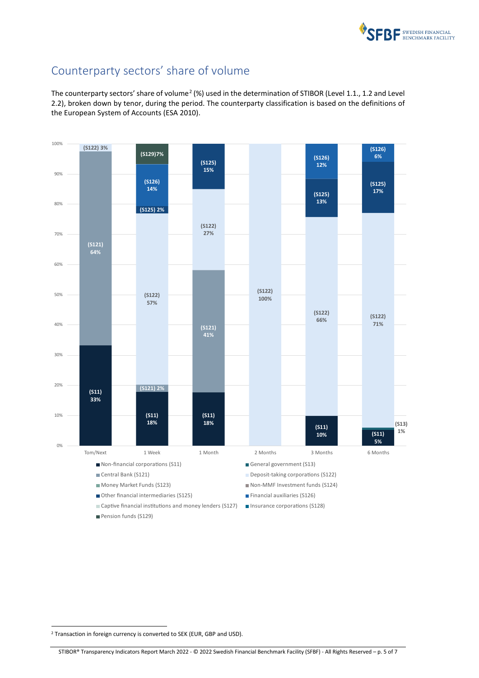

### <span id="page-4-0"></span>Counterparty sectors' share of volume

The counterparty sectors' share of volume<sup>[2](#page-4-1)</sup> (%) used in the determination of STIBOR (Level 1.1., 1.2 and Level 2.2), broken down by tenor, during the period. The counterparty classification is based on the definitions of the European System of Accounts (ESA 2010).



<span id="page-4-1"></span><sup>2</sup> Transaction in foreign currency is converted to SEK (EUR, GBP and USD).

STIBOR® Transparency Indicators Report March 2022 - © 2022 Swedish Financial Benchmark Facility (SFBF) - All Rights Reserved – p. 5 of 7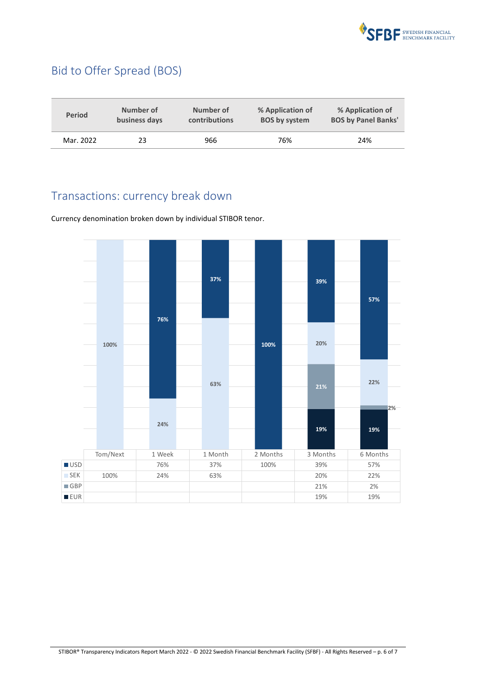

## <span id="page-5-0"></span>Bid to Offer Spread (BOS)

| <b>Period</b> | Number of     | Number of     | % Application of     | % Application of           |
|---------------|---------------|---------------|----------------------|----------------------------|
|               | business days | contributions | <b>BOS by system</b> | <b>BOS by Panel Banks'</b> |
| Mar. 2022     | 23            | 966           | 76%                  | 24%                        |

## <span id="page-5-1"></span>Transactions: currency break down

Currency denomination broken down by individual STIBOR tenor.